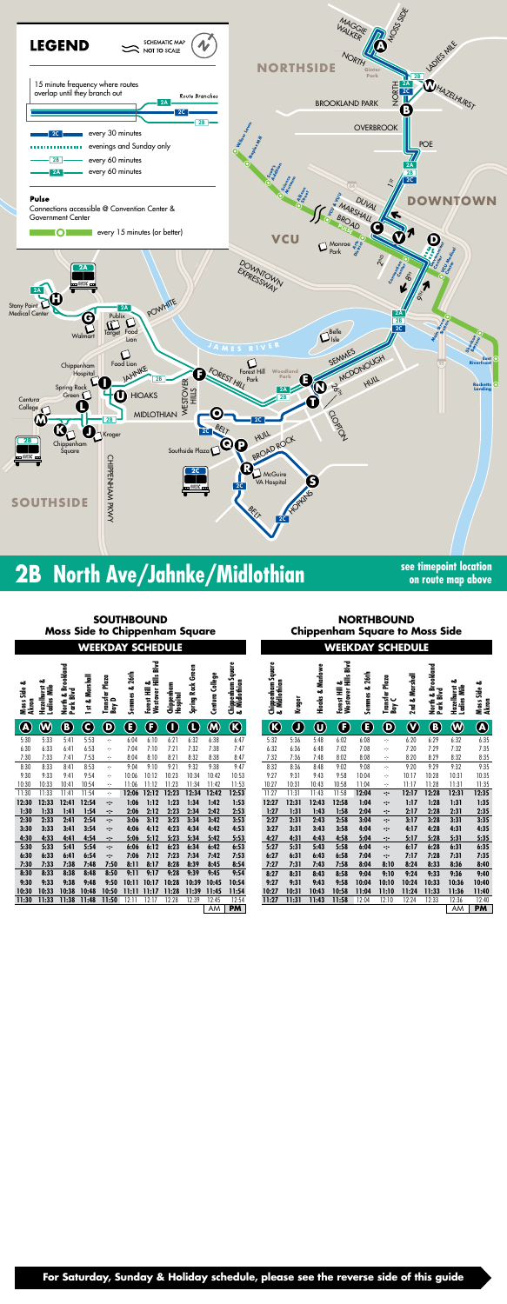

## **2B** North Ave/Jahnke/Midlothian **See timepoint location**

**on route map above**

| <b>SOUTHBOUND</b><br><b>Moss Side to Chippenham Square</b><br><b>WEEKDAY SCHEDULE</b> |                           |                                 |                    |                                |                             |                                                |                    | <b>NORTHBOUND</b><br><b>Chippenham Square to Moss Side</b><br><b>WEEKDAY SCHEDULE</b> |                    |                                        |                                        |        |                        |                                                     |                         |                               |                |                                     |                  |                            |
|---------------------------------------------------------------------------------------|---------------------------|---------------------------------|--------------------|--------------------------------|-----------------------------|------------------------------------------------|--------------------|---------------------------------------------------------------------------------------|--------------------|----------------------------------------|----------------------------------------|--------|------------------------|-----------------------------------------------------|-------------------------|-------------------------------|----------------|-------------------------------------|------------------|----------------------------|
| త<br>Side<br>SS<br><u>ទី</u>                                                          | ఱ<br>azelhurst<br>Ε<br>ی. | okland<br>₹<br>€<br>Park I<br>៵ | Marshall<br>ಹ<br>뉴 | Transfer Plaza<br>Bay D<br>δaγ | 26th<br><b>Semmes &amp;</b> | Hills Blvd<br>త<br>葦<br>៵<br>ត<br>ë<br>Ö<br>قع | ē<br>dia<br>5<br>우 | Green<br><u>Rock</u><br>Spring                                                        | College<br>g<br>ٷٙ | Square<br>Chippenham S<br>& Midlothian | Square<br>Chippenham S<br>& Midlothian | Kroger | Marlowe<br>ಹ<br>Hioaks | <b>Blvd</b><br>Ë<br>ఱ<br>Ē<br>stover<br>orest<br>قع | 26th<br>ಹ<br>emmes<br>Ū | Transfer Plaza<br>Bay C<br>δm | 2nd & Marshall | pokland<br>لاه<br>Park<br><u>ទិ</u> | ٥ð<br>adies<br>ᄇ | ఱ<br>ឌី<br>Moss !<br>Akron |
| $\boldsymbol{\mathsf{A}}$                                                             |                           | (B)                             | C                  | (D)                            | B                           | F                                              | Ω                  | $\mathbf L$                                                                           | M)                 | $\bf{(k)}$                             | $\left( \mathbf{K}\right)$             | Ø      | U                      | ß                                                   | E                       | D)                            | (V             | B                                   | W                | $\left( 8\right)$          |
| 5:30                                                                                  | 5:33                      | $5:4$ ]                         | 5:53               | ∴.                             | 6:04                        | 6:10                                           | 6:21               | 6:32                                                                                  | 6:38               | 6:47                                   | 5:32                                   | 5:36   | 5:48                   | 6:02                                                | 6:08                    | ÷                             | 6:20           | 6:29                                | 6:32             | 6:35                       |

| 7:47  | 6:32  | 6:36  | 6:48  | 7:02  | 7:08  | ÷     | 7:20  | 7:29  | 7:32  | 7:35      |
|-------|-------|-------|-------|-------|-------|-------|-------|-------|-------|-----------|
| 8:47  | 7:32  | 7:36  | 7:48  | 8:02  | 8:08  | ÷     | 8:20  | 8:29  | 8:32  | 8:35      |
| 9:47  | 8:32  | 8:36  | 8:48  | 9:02  | 9:08  | ÷     | 9:20  | 9:29  | 9:32  | 9:35      |
| 10:53 | 9:27  | 9:31  | 9:43  | 9:58  | 10:04 | ÷     | 10:17 | 10:28 | 10:31 | 10:35     |
| 11:53 | 10:27 | 10:31 | 10:43 | 10:58 | 11:04 | ÷     | 11:17 | 11:28 | 11:31 | 11:35     |
| 12:53 | 11:27 | 11:31 | 11:43 | 11:58 | 12:04 | ∹∹    | 12:17 | 12:28 | 12:31 | 12:35     |
| 1:53  | 12:27 | 12:31 | 12:43 | 12:58 | 1:04  | ∹∹    | 1:17  | 1:28  | 1:31  | 1:35      |
| 2:53  | 1:27  | 1:31  | 1:43  | 1:58  | 2:04  | -:-   | 2:17  | 2:28  | 2:31  | 2:35      |
| 3:53  | 2:27  | 2:31  | 2:43  | 2:58  | 3:04  | ∹∹    | 3:17  | 3:28  | 3:31  | 3:35      |
| 4:53  | 3:27  | 3:31  | 3:43  | 3:58  | 4:04  | ∹-    | 4:17  | 4:28  | 4:31  | 4:35      |
| 5:53  | 4:27  | 4:31  | 4:43  | 4:58  | 5:04  | ∹-    | 5:17  | 5:28  | 5:31  | 5:35      |
| 6:53  | 5:27  | 5:31  | 5:43  | 5:58  | 6:04  | ∹-    | 6:17  | 6:28  | 6:31  | 6:35      |
| 7:53  | 6:27  | 6:31  | 6:43  | 6:58  | 7:04  | ∹-    | 7:17  | 7:28  | 7:31  | 7:35      |
| 8:54  | 7:27  | 7:31  | 7:43  | 7:58  | 8:04  | 8:10  | 8:24  | 8:33  | 8:36  | 8:40      |
| 9:54  | 8:27  | 8:31  | 8:43  | 8:58  | 9:04  | 9:10  | 9:24  | 9:33  | 9:36  | 9:40      |
| 10:54 | 9:27  | 9:31  | 9:43  | 9:58  | 10:04 | 10:10 | 10:24 | 10:33 | 10:36 | 10:40     |
| 11:54 | 10:27 | 10:31 | 10:43 | 10:58 | 11:04 | 11:10 | 11:24 | 11:33 | 11:36 | 11:40     |
| 12:54 | 11:27 | 11:31 | 11:43 | 11:58 | 12:04 | 12:10 | 12:24 | 12:33 | 12:36 | 12:40     |
| PM.   |       |       |       |       |       |       |       |       | AM    | <b>PM</b> |
|       |       |       |       |       |       |       |       |       |       |           |

| $\bm{\textcircled{b}}$<br>$\bigcirc$<br>$\bm{\textcircled{w}}$<br>$\bf C$<br>$\mathbb G$<br>$\bf{C}$<br>$\bf \Phi$<br>$\mathbf 0$<br>$\bigcirc$<br>$\bf 0$<br>$\boldsymbol{\mathbb{O}}$<br>$\boldsymbol{\mathbb{G}}$<br>$\bigcirc$<br>$\bigcircledast$<br>$\bf \bf G$<br>$\mathbf \Theta$<br>$\bf \Theta$<br>$\bigcirc$<br>5:33<br>5:53<br>6:32<br>6:38<br>6:47<br>5:32<br>5:36<br>5:48<br>6:29<br>5:30<br>5:41<br>6:04<br>6:10<br>6:21<br>6:02<br>6:08<br>6:20<br>$\dot{\gamma}$<br>$\gamma_{\rm T}$<br>7:32<br>6:30<br>6:33<br>6:53<br>7:10<br>7:21<br>7:32<br>7:38<br>7:47<br>6:32<br>6:36<br>7:02<br>7:08<br>7:20<br>7:29<br>6:41<br>7:04<br>6:48<br>÷<br>÷<br>7:30<br>7:53<br>8:21<br>8:32<br>8:38<br>7:32<br>8:02<br>8:08<br>8:20<br>8:29<br>7:33<br>7:41<br>8:04<br>8:10<br>8:47<br>7:36<br>7:48<br>$\dot{\mathbb{C}}$<br>$\frac{1}{2}$<br>8:53<br>9:32<br>8:32<br>9:32<br>8:30<br>8:33<br>9:10<br>9:21<br>9:38<br>9:47<br>8:36<br>9:02<br>9:08<br>9:20<br>9:29<br>8:41<br>$\gamma$<br>9:04<br>8:48<br>$\frac{1}{\sqrt{2}}$<br>9:54<br>10:53<br>9:27<br>9:58<br>9:30<br>9:33<br>9:41<br>10:12<br>10:23<br>10:34<br>10:42<br>9:31<br>9:43<br>10:04<br>10:28<br>10:31<br>10:06<br>10:17<br>÷<br>÷<br>10:30<br>10:33<br>10:54<br>11:23<br>11:34<br>11:53<br>10:27<br>10:31<br>10:58<br>11:04<br>11:17<br>11:28<br>10:41<br>11:06<br>11:12<br>11:42<br>10:43<br>÷<br>$\sim$<br>11:30<br>11:33<br>11:41<br>11:54<br>12:23<br>12:34<br>12:53<br>11:27<br>11:31<br>11:58<br>12:17<br>12:28<br>12:06<br>12:12<br>12:42<br>11:43<br>12:04<br>÷<br>$\ddot{\cdot}$<br>12:30<br>12:33<br>12:54<br>1:12<br>1:23<br>1:34<br>1:42<br>1:17<br>1:28<br>1:31<br>12:41<br>1:06<br>1:53<br>12:27<br>12:31<br>12:43<br>12:58<br>1:04<br>$\ddot{\phantom{a}}$<br>$\ddot{\cdot}$<br>2:34<br>1:30<br>1:33<br>1:41<br>1:54<br>2:12<br>2:23<br>2:42<br>2:53<br>1:27<br>1:31<br>1:58<br>2:04<br>2:17<br>2:28<br>2:06<br>1:43<br>⊹<br>⊹<br>2:54<br>3:12<br>3:23<br>3:34<br>3:53<br>3:17<br>2:30<br>2:33<br>2:41<br>3:42<br>2:27<br>2:31<br>2:58<br>3:04<br>3:28<br>3:06<br>2:43<br>$\div$<br>$\div$<br>3:33<br>3:54<br>4:23<br>4:34<br>4:53<br>4:17<br>4:31<br>3:30<br>3:41<br>4:12<br>4:42<br>3:27<br>3:31<br>3:43<br>3:58<br>4:04<br>4:28<br>4:06<br>∹.<br>$\div$<br>4:30<br>4:33<br>4:54<br>5:23<br>5:34<br>5:53<br>4:27<br>4:43<br>4:58<br>5:04<br>5:17<br>5:28<br>4:41<br>5:06<br>5:12<br>5:42<br>4:31<br>∹.<br>$\div$<br>6:23<br>6:34<br>6:17<br>6:28<br>5:30<br>5:33<br>5:41<br>5:54<br>6:12<br>6:42<br>6:53<br>5:27<br>5:31<br>5:43<br>5:58<br>6:04<br>6:06<br>$\ddot{\phantom{a}}$<br>∹∹<br>6:30<br>7:23<br>7:34<br>7:53<br>7:17<br>7:28<br>7:31<br>6:33<br>6:41<br>6:54<br>7:06<br>7:12<br>7:42<br>6:27<br>6:31<br>6:43<br>6:58<br>7:04<br>$\ddot{\phantom{a}}$ :<br>$\ddot{\phantom{a}}$<br>7:30<br>7:50<br>8:28<br>8:39<br>8:54<br>7:27<br>7:58<br>8:04<br>8:10<br>8:24<br>8:33<br>7:33<br>7:38<br>7:48<br>8:11<br>8:17<br>8:45<br>7:31<br>7:43<br>9:39<br>9:54<br>8:30<br>8:33<br>8:38<br>8:50<br>9:11<br>9:17<br>9:28<br>9:45<br>9:24<br>8:48<br>8:27<br>8:58<br>9:04<br>9:10<br>9:33<br>8:31<br>8:43<br>9:33<br>10:11<br>9:30<br>9:38<br>9:48<br>9:50<br>10:17<br>10:28<br>10:39<br>10:45<br>9:27<br>9:31<br>9:43<br>9:58<br>10:04<br>10:10<br>10:24<br>10:33<br>10:54<br>10:36<br>10:30<br>10:33<br>10:38<br>10:50<br>11:11<br>11:17<br>11:28<br>11:39<br>10:31<br>10:58<br>11:04<br>11:24<br>11:33<br>10:48<br>11:45<br>11:54<br>10:27<br>10:43<br>11:10<br>11:33<br>11:38<br>11:48<br>11:50<br>12:11<br>12:17<br>12:28<br>12:39<br>12:45<br>12:54<br>11:30<br><u>11:31</u><br>11:43<br>11:58<br>12:04<br>12:24<br>12:33<br><u>11:27</u><br>12:10<br>AM<br><b>PM</b><br><b>AM</b><br>For Saturday, Sunday & Holiday schedule, please see the reverse side of this guide | ೲ<br>Moss Side 4<br>Akron | ఱ<br>Hazelhurst &<br>Ladies Mile | North & Brook<br>Park Blvd | 1st & Marshal | Transfer Plaza<br>Bay D | Semmes & 26 | Forest Hill &<br>Westover Hills | Chippenham<br>Hospital | ه<br>Spring Rock | Centura Colleg | Chippenham Sq<br>& Midlothian | Chippenham Sq<br>& Midlothian | Kroger | Hioaks & Marl | Forest Hill &<br>Westover Hills | Semmes & 26 | Transfer Plaza<br>Bay C | 2nd & Marshal | North & Brook<br>Park Blvd | ఱ<br>Hazelhurst &<br>Ladies Mile |
|---------------------------------------------------------------------------------------------------------------------------------------------------------------------------------------------------------------------------------------------------------------------------------------------------------------------------------------------------------------------------------------------------------------------------------------------------------------------------------------------------------------------------------------------------------------------------------------------------------------------------------------------------------------------------------------------------------------------------------------------------------------------------------------------------------------------------------------------------------------------------------------------------------------------------------------------------------------------------------------------------------------------------------------------------------------------------------------------------------------------------------------------------------------------------------------------------------------------------------------------------------------------------------------------------------------------------------------------------------------------------------------------------------------------------------------------------------------------------------------------------------------------------------------------------------------------------------------------------------------------------------------------------------------------------------------------------------------------------------------------------------------------------------------------------------------------------------------------------------------------------------------------------------------------------------------------------------------------------------------------------------------------------------------------------------------------------------------------------------------------------------------------------------------------------------------------------------------------------------------------------------------------------------------------------------------------------------------------------------------------------------------------------------------------------------------------------------------------------------------------------------------------------------------------------------------------------------------------------------------------------------------------------------------------------------------------------------------------------------------------------------------------------------------------------------------------------------------------------------------------------------------------------------------------------------------------------------------------------------------------------------------------------------------------------------------------------------------------------------------------------------------------------------------------------------------------------------------------------------------------------------------------------------------------------------------------------------------------------------------------------------------------------------------------------------------------------------------------------------------------------------------------------------------------------------------------------------------------------------------------------------------------------------------------------------------------------------------------------------------------------------------------|---------------------------|----------------------------------|----------------------------|---------------|-------------------------|-------------|---------------------------------|------------------------|------------------|----------------|-------------------------------|-------------------------------|--------|---------------|---------------------------------|-------------|-------------------------|---------------|----------------------------|----------------------------------|
|                                                                                                                                                                                                                                                                                                                                                                                                                                                                                                                                                                                                                                                                                                                                                                                                                                                                                                                                                                                                                                                                                                                                                                                                                                                                                                                                                                                                                                                                                                                                                                                                                                                                                                                                                                                                                                                                                                                                                                                                                                                                                                                                                                                                                                                                                                                                                                                                                                                                                                                                                                                                                                                                                                                                                                                                                                                                                                                                                                                                                                                                                                                                                                                                                                                                                                                                                                                                                                                                                                                                                                                                                                                                                                                                                                     |                           |                                  |                            |               |                         |             |                                 |                        |                  |                |                               |                               |        |               |                                 |             |                         |               |                            | $\bigcirc$                       |
|                                                                                                                                                                                                                                                                                                                                                                                                                                                                                                                                                                                                                                                                                                                                                                                                                                                                                                                                                                                                                                                                                                                                                                                                                                                                                                                                                                                                                                                                                                                                                                                                                                                                                                                                                                                                                                                                                                                                                                                                                                                                                                                                                                                                                                                                                                                                                                                                                                                                                                                                                                                                                                                                                                                                                                                                                                                                                                                                                                                                                                                                                                                                                                                                                                                                                                                                                                                                                                                                                                                                                                                                                                                                                                                                                                     |                           |                                  |                            |               |                         |             |                                 |                        |                  |                |                               |                               |        |               |                                 |             |                         |               |                            | 6:32                             |
|                                                                                                                                                                                                                                                                                                                                                                                                                                                                                                                                                                                                                                                                                                                                                                                                                                                                                                                                                                                                                                                                                                                                                                                                                                                                                                                                                                                                                                                                                                                                                                                                                                                                                                                                                                                                                                                                                                                                                                                                                                                                                                                                                                                                                                                                                                                                                                                                                                                                                                                                                                                                                                                                                                                                                                                                                                                                                                                                                                                                                                                                                                                                                                                                                                                                                                                                                                                                                                                                                                                                                                                                                                                                                                                                                                     |                           |                                  |                            |               |                         |             |                                 |                        |                  |                |                               |                               |        |               |                                 |             |                         |               |                            | 8:32                             |
|                                                                                                                                                                                                                                                                                                                                                                                                                                                                                                                                                                                                                                                                                                                                                                                                                                                                                                                                                                                                                                                                                                                                                                                                                                                                                                                                                                                                                                                                                                                                                                                                                                                                                                                                                                                                                                                                                                                                                                                                                                                                                                                                                                                                                                                                                                                                                                                                                                                                                                                                                                                                                                                                                                                                                                                                                                                                                                                                                                                                                                                                                                                                                                                                                                                                                                                                                                                                                                                                                                                                                                                                                                                                                                                                                                     |                           |                                  |                            |               |                         |             |                                 |                        |                  |                |                               |                               |        |               |                                 |             |                         |               |                            |                                  |
|                                                                                                                                                                                                                                                                                                                                                                                                                                                                                                                                                                                                                                                                                                                                                                                                                                                                                                                                                                                                                                                                                                                                                                                                                                                                                                                                                                                                                                                                                                                                                                                                                                                                                                                                                                                                                                                                                                                                                                                                                                                                                                                                                                                                                                                                                                                                                                                                                                                                                                                                                                                                                                                                                                                                                                                                                                                                                                                                                                                                                                                                                                                                                                                                                                                                                                                                                                                                                                                                                                                                                                                                                                                                                                                                                                     |                           |                                  |                            |               |                         |             |                                 |                        |                  |                |                               |                               |        |               |                                 |             |                         |               |                            | 11:31                            |
|                                                                                                                                                                                                                                                                                                                                                                                                                                                                                                                                                                                                                                                                                                                                                                                                                                                                                                                                                                                                                                                                                                                                                                                                                                                                                                                                                                                                                                                                                                                                                                                                                                                                                                                                                                                                                                                                                                                                                                                                                                                                                                                                                                                                                                                                                                                                                                                                                                                                                                                                                                                                                                                                                                                                                                                                                                                                                                                                                                                                                                                                                                                                                                                                                                                                                                                                                                                                                                                                                                                                                                                                                                                                                                                                                                     |                           |                                  |                            |               |                         |             |                                 |                        |                  |                |                               |                               |        |               |                                 |             |                         |               |                            | 12:31                            |
|                                                                                                                                                                                                                                                                                                                                                                                                                                                                                                                                                                                                                                                                                                                                                                                                                                                                                                                                                                                                                                                                                                                                                                                                                                                                                                                                                                                                                                                                                                                                                                                                                                                                                                                                                                                                                                                                                                                                                                                                                                                                                                                                                                                                                                                                                                                                                                                                                                                                                                                                                                                                                                                                                                                                                                                                                                                                                                                                                                                                                                                                                                                                                                                                                                                                                                                                                                                                                                                                                                                                                                                                                                                                                                                                                                     |                           |                                  |                            |               |                         |             |                                 |                        |                  |                |                               |                               |        |               |                                 |             |                         |               |                            | 2:31                             |
|                                                                                                                                                                                                                                                                                                                                                                                                                                                                                                                                                                                                                                                                                                                                                                                                                                                                                                                                                                                                                                                                                                                                                                                                                                                                                                                                                                                                                                                                                                                                                                                                                                                                                                                                                                                                                                                                                                                                                                                                                                                                                                                                                                                                                                                                                                                                                                                                                                                                                                                                                                                                                                                                                                                                                                                                                                                                                                                                                                                                                                                                                                                                                                                                                                                                                                                                                                                                                                                                                                                                                                                                                                                                                                                                                                     |                           |                                  |                            |               |                         |             |                                 |                        |                  |                |                               |                               |        |               |                                 |             |                         |               |                            | 3:31                             |
|                                                                                                                                                                                                                                                                                                                                                                                                                                                                                                                                                                                                                                                                                                                                                                                                                                                                                                                                                                                                                                                                                                                                                                                                                                                                                                                                                                                                                                                                                                                                                                                                                                                                                                                                                                                                                                                                                                                                                                                                                                                                                                                                                                                                                                                                                                                                                                                                                                                                                                                                                                                                                                                                                                                                                                                                                                                                                                                                                                                                                                                                                                                                                                                                                                                                                                                                                                                                                                                                                                                                                                                                                                                                                                                                                                     |                           |                                  |                            |               |                         |             |                                 |                        |                  |                |                               |                               |        |               |                                 |             |                         |               |                            | 5:31                             |
|                                                                                                                                                                                                                                                                                                                                                                                                                                                                                                                                                                                                                                                                                                                                                                                                                                                                                                                                                                                                                                                                                                                                                                                                                                                                                                                                                                                                                                                                                                                                                                                                                                                                                                                                                                                                                                                                                                                                                                                                                                                                                                                                                                                                                                                                                                                                                                                                                                                                                                                                                                                                                                                                                                                                                                                                                                                                                                                                                                                                                                                                                                                                                                                                                                                                                                                                                                                                                                                                                                                                                                                                                                                                                                                                                                     |                           |                                  |                            |               |                         |             |                                 |                        |                  |                |                               |                               |        |               |                                 |             |                         |               |                            | 6:31                             |
|                                                                                                                                                                                                                                                                                                                                                                                                                                                                                                                                                                                                                                                                                                                                                                                                                                                                                                                                                                                                                                                                                                                                                                                                                                                                                                                                                                                                                                                                                                                                                                                                                                                                                                                                                                                                                                                                                                                                                                                                                                                                                                                                                                                                                                                                                                                                                                                                                                                                                                                                                                                                                                                                                                                                                                                                                                                                                                                                                                                                                                                                                                                                                                                                                                                                                                                                                                                                                                                                                                                                                                                                                                                                                                                                                                     |                           |                                  |                            |               |                         |             |                                 |                        |                  |                |                               |                               |        |               |                                 |             |                         |               |                            | 8:36                             |
|                                                                                                                                                                                                                                                                                                                                                                                                                                                                                                                                                                                                                                                                                                                                                                                                                                                                                                                                                                                                                                                                                                                                                                                                                                                                                                                                                                                                                                                                                                                                                                                                                                                                                                                                                                                                                                                                                                                                                                                                                                                                                                                                                                                                                                                                                                                                                                                                                                                                                                                                                                                                                                                                                                                                                                                                                                                                                                                                                                                                                                                                                                                                                                                                                                                                                                                                                                                                                                                                                                                                                                                                                                                                                                                                                                     |                           |                                  |                            |               |                         |             |                                 |                        |                  |                |                               |                               |        |               |                                 |             |                         |               |                            | 9:36                             |
|                                                                                                                                                                                                                                                                                                                                                                                                                                                                                                                                                                                                                                                                                                                                                                                                                                                                                                                                                                                                                                                                                                                                                                                                                                                                                                                                                                                                                                                                                                                                                                                                                                                                                                                                                                                                                                                                                                                                                                                                                                                                                                                                                                                                                                                                                                                                                                                                                                                                                                                                                                                                                                                                                                                                                                                                                                                                                                                                                                                                                                                                                                                                                                                                                                                                                                                                                                                                                                                                                                                                                                                                                                                                                                                                                                     |                           |                                  |                            |               |                         |             |                                 |                        |                  |                |                               |                               |        |               |                                 |             |                         |               |                            | 11:36                            |
|                                                                                                                                                                                                                                                                                                                                                                                                                                                                                                                                                                                                                                                                                                                                                                                                                                                                                                                                                                                                                                                                                                                                                                                                                                                                                                                                                                                                                                                                                                                                                                                                                                                                                                                                                                                                                                                                                                                                                                                                                                                                                                                                                                                                                                                                                                                                                                                                                                                                                                                                                                                                                                                                                                                                                                                                                                                                                                                                                                                                                                                                                                                                                                                                                                                                                                                                                                                                                                                                                                                                                                                                                                                                                                                                                                     |                           |                                  |                            |               |                         |             |                                 |                        |                  |                |                               |                               |        |               |                                 |             |                         |               |                            | 12:36                            |
|                                                                                                                                                                                                                                                                                                                                                                                                                                                                                                                                                                                                                                                                                                                                                                                                                                                                                                                                                                                                                                                                                                                                                                                                                                                                                                                                                                                                                                                                                                                                                                                                                                                                                                                                                                                                                                                                                                                                                                                                                                                                                                                                                                                                                                                                                                                                                                                                                                                                                                                                                                                                                                                                                                                                                                                                                                                                                                                                                                                                                                                                                                                                                                                                                                                                                                                                                                                                                                                                                                                                                                                                                                                                                                                                                                     |                           |                                  |                            |               |                         |             |                                 |                        |                  |                |                               |                               |        |               |                                 |             |                         |               |                            |                                  |
|                                                                                                                                                                                                                                                                                                                                                                                                                                                                                                                                                                                                                                                                                                                                                                                                                                                                                                                                                                                                                                                                                                                                                                                                                                                                                                                                                                                                                                                                                                                                                                                                                                                                                                                                                                                                                                                                                                                                                                                                                                                                                                                                                                                                                                                                                                                                                                                                                                                                                                                                                                                                                                                                                                                                                                                                                                                                                                                                                                                                                                                                                                                                                                                                                                                                                                                                                                                                                                                                                                                                                                                                                                                                                                                                                                     |                           |                                  |                            |               |                         |             |                                 |                        |                  |                |                               |                               |        |               |                                 |             |                         |               |                            |                                  |